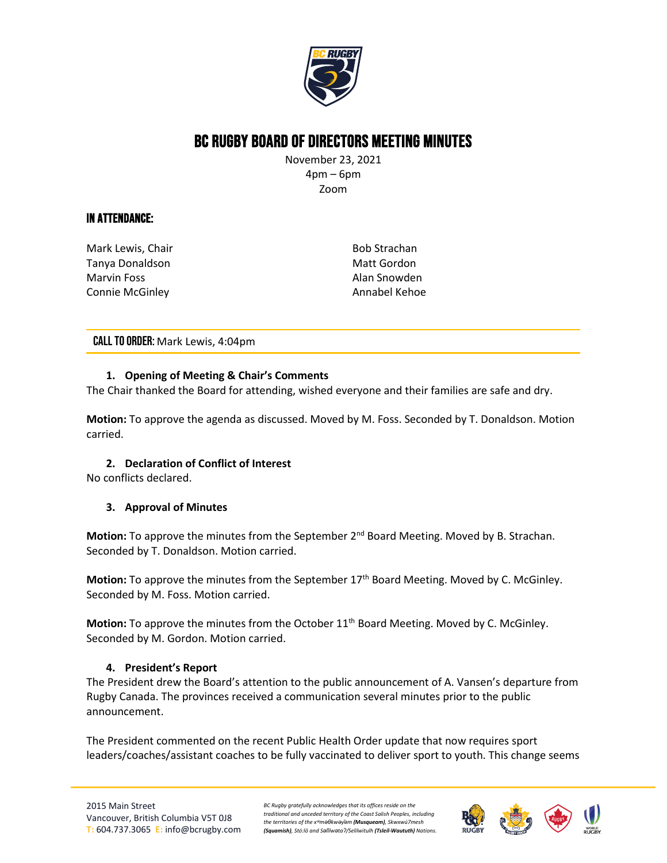

# BC Rugby Board of Directors Meeting Minutes

November 23, 2021 4pm – 6pm Zoom

# In Attendance:

Mark Lewis, Chair Tanya Donaldson Marvin Foss Connie McGinley

Bob Strachan Matt Gordon Alan Snowden Annabel Kehoe

CALL TO ORDER: Mark Lewis, 4:04pm

## **1. Opening of Meeting & Chair's Comments**

The Chair thanked the Board for attending, wished everyone and their families are safe and dry.

**Motion:** To approve the agenda as discussed. Moved by M. Foss. Seconded by T. Donaldson. Motion carried.

# **2. Declaration of Conflict of Interest**

No conflicts declared.

## **3. Approval of Minutes**

Motion: To approve the minutes from the September 2<sup>nd</sup> Board Meeting. Moved by B. Strachan. Seconded by T. Donaldson. Motion carried.

**Motion:** To approve the minutes from the September 17<sup>th</sup> Board Meeting. Moved by C. McGinley. Seconded by M. Foss. Motion carried.

Motion: To approve the minutes from the October 11<sup>th</sup> Board Meeting. Moved by C. McGinley. Seconded by M. Gordon. Motion carried.

## **4. President's Report**

The President drew the Board's attention to the public announcement of A. Vansen's departure from Rugby Canada. The provinces received a communication several minutes prior to the public announcement.

The President commented on the recent Public Health Order update that now requires sport leaders/coaches/assistant coaches to be fully vaccinated to deliver sport to youth. This change seems

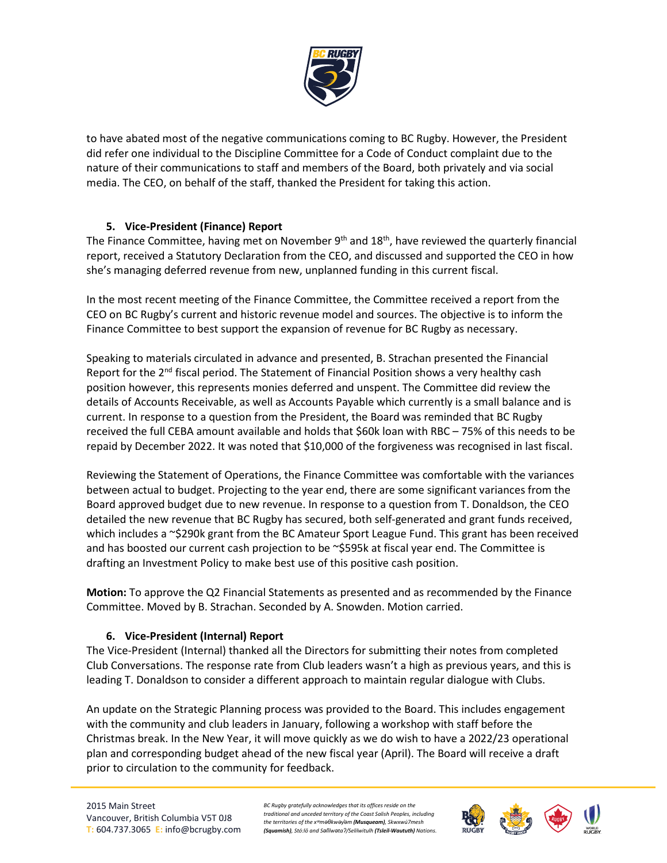

to have abated most of the negative communications coming to BC Rugby. However, the President did refer one individual to the Discipline Committee for a Code of Conduct complaint due to the nature of their communications to staff and members of the Board, both privately and via social media. The CEO, on behalf of the staff, thanked the President for taking this action.

# **5. Vice-President (Finance) Report**

The Finance Committee, having met on November  $9<sup>th</sup>$  and  $18<sup>th</sup>$ , have reviewed the quarterly financial report, received a Statutory Declaration from the CEO, and discussed and supported the CEO in how she's managing deferred revenue from new, unplanned funding in this current fiscal.

In the most recent meeting of the Finance Committee, the Committee received a report from the CEO on BC Rugby's current and historic revenue model and sources. The objective is to inform the Finance Committee to best support the expansion of revenue for BC Rugby as necessary.

Speaking to materials circulated in advance and presented, B. Strachan presented the Financial Report for the 2<sup>nd</sup> fiscal period. The Statement of Financial Position shows a very healthy cash position however, this represents monies deferred and unspent. The Committee did review the details of Accounts Receivable, as well as Accounts Payable which currently is a small balance and is current. In response to a question from the President, the Board was reminded that BC Rugby received the full CEBA amount available and holds that \$60k loan with RBC – 75% of this needs to be repaid by December 2022. It was noted that \$10,000 of the forgiveness was recognised in last fiscal.

Reviewing the Statement of Operations, the Finance Committee was comfortable with the variances between actual to budget. Projecting to the year end, there are some significant variances from the Board approved budget due to new revenue. In response to a question from T. Donaldson, the CEO detailed the new revenue that BC Rugby has secured, both self-generated and grant funds received, which includes a ~\$290k grant from the BC Amateur Sport League Fund. This grant has been received and has boosted our current cash projection to be  $\sim$ \$595k at fiscal year end. The Committee is drafting an Investment Policy to make best use of this positive cash position.

**Motion:** To approve the Q2 Financial Statements as presented and as recommended by the Finance Committee. Moved by B. Strachan. Seconded by A. Snowden. Motion carried.

# **6. Vice-President (Internal) Report**

The Vice-President (Internal) thanked all the Directors for submitting their notes from completed Club Conversations. The response rate from Club leaders wasn't a high as previous years, and this is leading T. Donaldson to consider a different approach to maintain regular dialogue with Clubs.

An update on the Strategic Planning process was provided to the Board. This includes engagement with the community and club leaders in January, following a workshop with staff before the Christmas break. In the New Year, it will move quickly as we do wish to have a 2022/23 operational plan and corresponding budget ahead of the new fiscal year (April). The Board will receive a draft prior to circulation to the community for feedback.

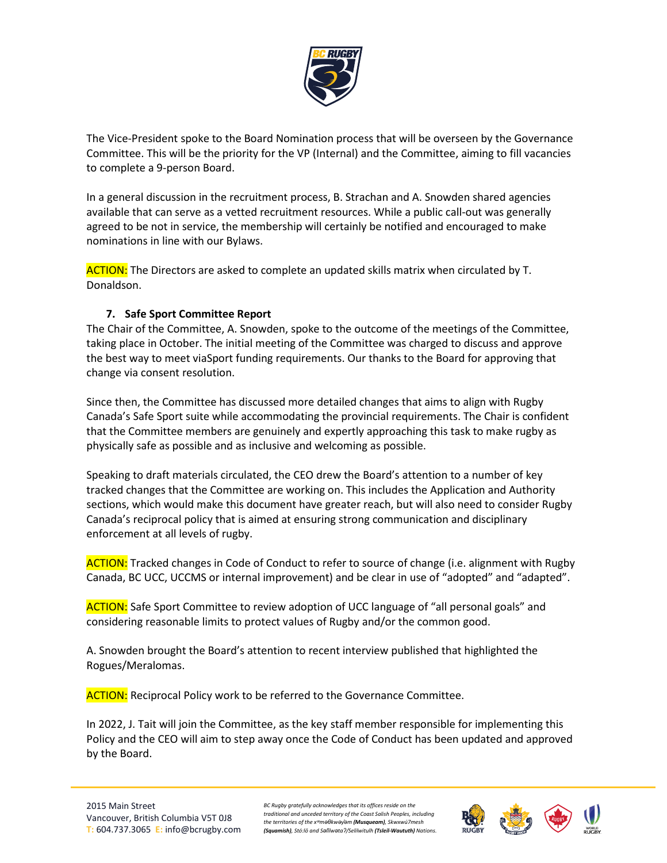

The Vice-President spoke to the Board Nomination process that will be overseen by the Governance Committee. This will be the priority for the VP (Internal) and the Committee, aiming to fill vacancies to complete a 9-person Board.

In a general discussion in the recruitment process, B. Strachan and A. Snowden shared agencies available that can serve as a vetted recruitment resources. While a public call-out was generally agreed to be not in service, the membership will certainly be notified and encouraged to make nominations in line with our Bylaws.

ACTION: The Directors are asked to complete an updated skills matrix when circulated by T. Donaldson.

# **7. Safe Sport Committee Report**

The Chair of the Committee, A. Snowden, spoke to the outcome of the meetings of the Committee, taking place in October. The initial meeting of the Committee was charged to discuss and approve the best way to meet viaSport funding requirements. Our thanks to the Board for approving that change via consent resolution.

Since then, the Committee has discussed more detailed changes that aims to align with Rugby Canada's Safe Sport suite while accommodating the provincial requirements. The Chair is confident that the Committee members are genuinely and expertly approaching this task to make rugby as physically safe as possible and as inclusive and welcoming as possible.

Speaking to draft materials circulated, the CEO drew the Board's attention to a number of key tracked changes that the Committee are working on. This includes the Application and Authority sections, which would make this document have greater reach, but will also need to consider Rugby Canada's reciprocal policy that is aimed at ensuring strong communication and disciplinary enforcement at all levels of rugby.

ACTION: Tracked changes in Code of Conduct to refer to source of change (i.e. alignment with Rugby Canada, BC UCC, UCCMS or internal improvement) and be clear in use of "adopted" and "adapted".

ACTION: Safe Sport Committee to review adoption of UCC language of "all personal goals" and considering reasonable limits to protect values of Rugby and/or the common good.

A. Snowden brought the Board's attention to recent interview published that highlighted the Rogues/Meralomas.

**ACTION:** Reciprocal Policy work to be referred to the Governance Committee.

In 2022, J. Tait will join the Committee, as the key staff member responsible for implementing this Policy and the CEO will aim to step away once the Code of Conduct has been updated and approved by the Board.

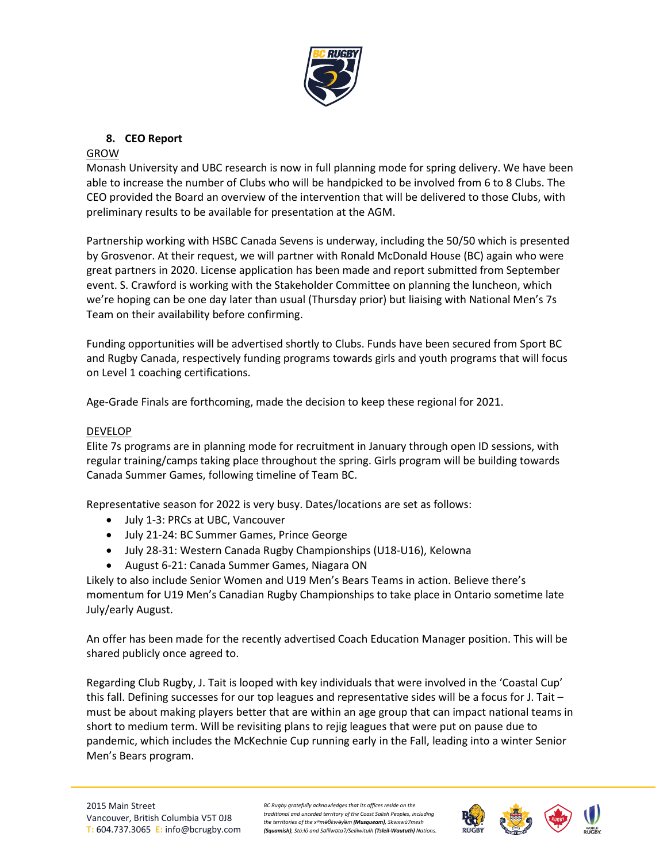

# **8. CEO Report**

## GROW

Monash University and UBC research is now in full planning mode for spring delivery. We have been able to increase the number of Clubs who will be handpicked to be involved from 6 to 8 Clubs. The CEO provided the Board an overview of the intervention that will be delivered to those Clubs, with preliminary results to be available for presentation at the AGM.

Partnership working with HSBC Canada Sevens is underway, including the 50/50 which is presented by Grosvenor. At their request, we will partner with Ronald McDonald House (BC) again who were great partners in 2020. License application has been made and report submitted from September event. S. Crawford is working with the Stakeholder Committee on planning the luncheon, which we're hoping can be one day later than usual (Thursday prior) but liaising with National Men's 7s Team on their availability before confirming.

Funding opportunities will be advertised shortly to Clubs. Funds have been secured from Sport BC and Rugby Canada, respectively funding programs towards girls and youth programs that will focus on Level 1 coaching certifications.

Age-Grade Finals are forthcoming, made the decision to keep these regional for 2021.

## DEVELOP

Elite 7s programs are in planning mode for recruitment in January through open ID sessions, with regular training/camps taking place throughout the spring. Girls program will be building towards Canada Summer Games, following timeline of Team BC.

Representative season for 2022 is very busy. Dates/locations are set as follows:

- July 1-3: PRCs at UBC, Vancouver
- July 21-24: BC Summer Games, Prince George
- July 28-31: Western Canada Rugby Championships (U18-U16), Kelowna
- August 6-21: Canada Summer Games, Niagara ON

Likely to also include Senior Women and U19 Men's Bears Teams in action. Believe there's momentum for U19 Men's Canadian Rugby Championships to take place in Ontario sometime late July/early August.

An offer has been made for the recently advertised Coach Education Manager position. This will be shared publicly once agreed to.

Regarding Club Rugby, J. Tait is looped with key individuals that were involved in the 'Coastal Cup' this fall. Defining successes for our top leagues and representative sides will be a focus for J. Tait – must be about making players better that are within an age group that can impact national teams in short to medium term. Will be revisiting plans to rejig leagues that were put on pause due to pandemic, which includes the McKechnie Cup running early in the Fall, leading into a winter Senior Men's Bears program.